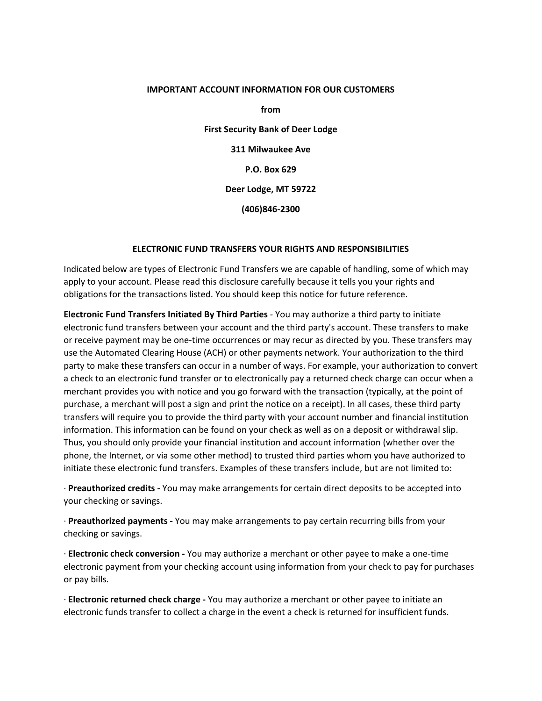#### **IMPORTANT ACCOUNT INFORMATION FOR OUR CUSTOMERS**

**from First Security Bank of Deer Lodge 311 Milwaukee Ave P.O. Box 629 Deer Lodge, MT 59722 (406)846‐2300**

#### **ELECTRONIC FUND TRANSFERS YOUR RIGHTS AND RESPONSIBILITIES**

Indicated below are types of Electronic Fund Transfers we are capable of handling, some of which may apply to your account. Please read this disclosure carefully because it tells you your rights and obligations for the transactions listed. You should keep this notice for future reference.

**Electronic Fund Transfers Initiated By Third Parties** ‐ You may authorize a third party to initiate electronic fund transfers between your account and the third party's account. These transfers to make or receive payment may be one‐time occurrences or may recur as directed by you. These transfers may use the Automated Clearing House (ACH) or other payments network. Your authorization to the third party to make these transfers can occur in a number of ways. For example, your authorization to convert a check to an electronic fund transfer or to electronically pay a returned check charge can occur when a merchant provides you with notice and you go forward with the transaction (typically, at the point of purchase, a merchant will post a sign and print the notice on a receipt). In all cases, these third party transfers will require you to provide the third party with your account number and financial institution information. This information can be found on your check as well as on a deposit or withdrawal slip. Thus, you should only provide your financial institution and account information (whether over the phone, the Internet, or via some other method) to trusted third parties whom you have authorized to initiate these electronic fund transfers. Examples of these transfers include, but are not limited to:

∙ **Preauthorized credits ‐** You may make arrangements for certain direct deposits to be accepted into your checking or savings.

∙ **Preauthorized payments ‐** You may make arrangements to pay certain recurring bills from your checking or savings.

∙ **Electronic check conversion ‐** You may authorize a merchant or other payee to make a one‐time electronic payment from your checking account using information from your check to pay for purchases or pay bills.

∙ **Electronic returned check charge ‐** You may authorize a merchant or other payee to initiate an electronic funds transfer to collect a charge in the event a check is returned for insufficient funds.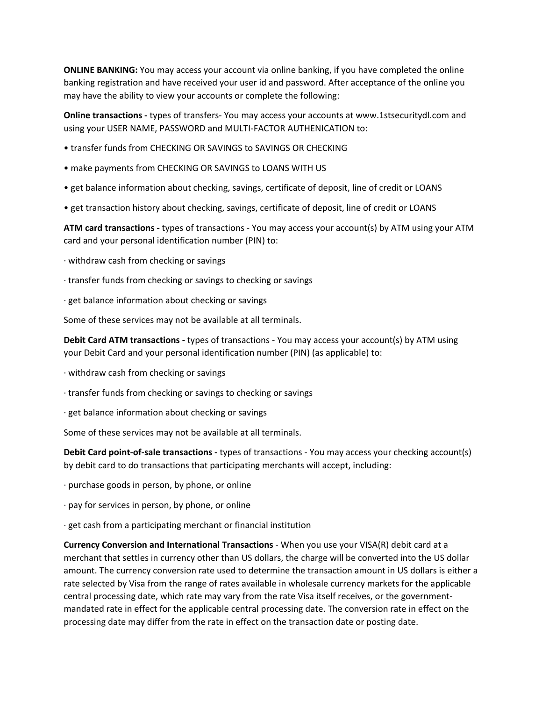**ONLINE BANKING:** You may access your account via online banking, if you have completed the online banking registration and have received your user id and password. After acceptance of the online you may have the ability to view your accounts or complete the following:

**Online transactions ‐** types of transfers‐ You may access your accounts at www.1stsecuritydl.com and using your USER NAME, PASSWORD and MULTI‐FACTOR AUTHENICATION to:

- transfer funds from CHECKING OR SAVINGS to SAVINGS OR CHECKING
- make payments from CHECKING OR SAVINGS to LOANS WITH US
- get balance information about checking, savings, certificate of deposit, line of credit or LOANS
- get transaction history about checking, savings, certificate of deposit, line of credit or LOANS

**ATM card transactions ‐** types of transactions ‐ You may access your account(s) by ATM using your ATM card and your personal identification number (PIN) to:

- ∙ withdraw cash from checking or savings
- ∙ transfer funds from checking or savings to checking or savings
- ∙ get balance information about checking or savings

Some of these services may not be available at all terminals.

**Debit Card ATM transactions ‐** types of transactions ‐ You may access your account(s) by ATM using your Debit Card and your personal identification number (PIN) (as applicable) to:

- ∙ withdraw cash from checking or savings
- ∙ transfer funds from checking or savings to checking or savings
- ∙ get balance information about checking or savings

Some of these services may not be available at all terminals.

**Debit Card point‐of‐sale transactions ‐** types of transactions ‐ You may access your checking account(s) by debit card to do transactions that participating merchants will accept, including:

- ∙ purchase goods in person, by phone, or online
- ∙ pay for services in person, by phone, or online
- ∙ get cash from a participating merchant or financial institution

**Currency Conversion and International Transactions** ‐ When you use your VISA(R) debit card at a merchant that settles in currency other than US dollars, the charge will be converted into the US dollar amount. The currency conversion rate used to determine the transaction amount in US dollars is either a rate selected by Visa from the range of rates available in wholesale currency markets for the applicable central processing date, which rate may vary from the rate Visa itself receives, or the government‐ mandated rate in effect for the applicable central processing date. The conversion rate in effect on the processing date may differ from the rate in effect on the transaction date or posting date.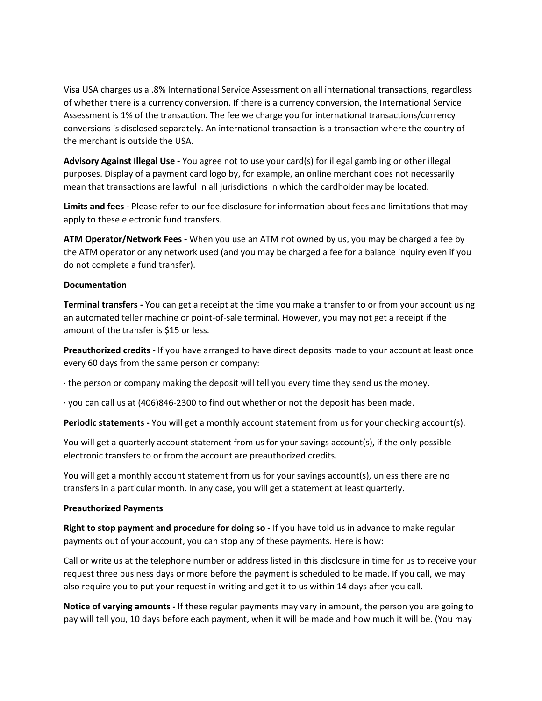Visa USA charges us a .8% International Service Assessment on all international transactions, regardless of whether there is a currency conversion. If there is a currency conversion, the International Service Assessment is 1% of the transaction. The fee we charge you for international transactions/currency conversions is disclosed separately. An international transaction is a transaction where the country of the merchant is outside the USA.

**Advisory Against Illegal Use ‐** You agree not to use your card(s) for illegal gambling or other illegal purposes. Display of a payment card logo by, for example, an online merchant does not necessarily mean that transactions are lawful in all jurisdictions in which the cardholder may be located.

**Limits and fees ‐** Please refer to our fee disclosure for information about fees and limitations that may apply to these electronic fund transfers.

**ATM Operator/Network Fees ‐** When you use an ATM not owned by us, you may be charged a fee by the ATM operator or any network used (and you may be charged a fee for a balance inquiry even if you do not complete a fund transfer).

#### **Documentation**

**Terminal transfers ‐** You can get a receipt at the time you make a transfer to or from your account using an automated teller machine or point‐of‐sale terminal. However, you may not get a receipt if the amount of the transfer is \$15 or less.

**Preauthorized credits ‐** If you have arranged to have direct deposits made to your account at least once every 60 days from the same person or company:

∙ the person or company making the deposit will tell you every time they send us the money.

∙ you can call us at (406)846‐2300 to find out whether or not the deposit has been made.

**Periodic statements ‐** You will get a monthly account statement from us for your checking account(s).

You will get a quarterly account statement from us for your savings account(s), if the only possible electronic transfers to or from the account are preauthorized credits.

You will get a monthly account statement from us for your savings account(s), unless there are no transfers in a particular month. In any case, you will get a statement at least quarterly.

#### **Preauthorized Payments**

**Right to stop payment and procedure for doing so ‐** If you have told us in advance to make regular payments out of your account, you can stop any of these payments. Here is how:

Call or write us at the telephone number or address listed in this disclosure in time for us to receive your request three business days or more before the payment is scheduled to be made. If you call, we may also require you to put your request in writing and get it to us within 14 days after you call.

**Notice of varying amounts ‐** If these regular payments may vary in amount, the person you are going to pay will tell you, 10 days before each payment, when it will be made and how much it will be. (You may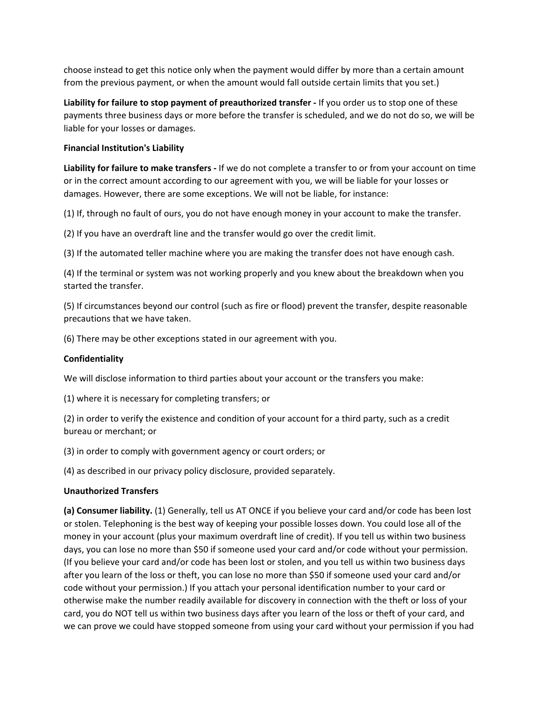choose instead to get this notice only when the payment would differ by more than a certain amount from the previous payment, or when the amount would fall outside certain limits that you set.)

**Liability for failure to stop payment of preauthorized transfer ‐** If you order us to stop one of these payments three business days or more before the transfer is scheduled, and we do not do so, we will be liable for your losses or damages.

## **Financial Institution's Liability**

**Liability for failure to make transfers ‐** If we do not complete a transfer to or from your account on time or in the correct amount according to our agreement with you, we will be liable for your losses or damages. However, there are some exceptions. We will not be liable, for instance:

(1) If, through no fault of ours, you do not have enough money in your account to make the transfer.

(2) If you have an overdraft line and the transfer would go over the credit limit.

(3) If the automated teller machine where you are making the transfer does not have enough cash.

(4) If the terminal or system was not working properly and you knew about the breakdown when you started the transfer.

(5) If circumstances beyond our control (such as fire or flood) prevent the transfer, despite reasonable precautions that we have taken.

(6) There may be other exceptions stated in our agreement with you.

## **Confidentiality**

We will disclose information to third parties about your account or the transfers you make:

(1) where it is necessary for completing transfers; or

(2) in order to verify the existence and condition of your account for a third party, such as a credit bureau or merchant; or

(3) in order to comply with government agency or court orders; or

(4) as described in our privacy policy disclosure, provided separately.

## **Unauthorized Transfers**

**(a) Consumer liability.** (1) Generally, tell us AT ONCE if you believe your card and/or code has been lost or stolen. Telephoning is the best way of keeping your possible losses down. You could lose all of the money in your account (plus your maximum overdraft line of credit). If you tell us within two business days, you can lose no more than \$50 if someone used your card and/or code without your permission. (If you believe your card and/or code has been lost or stolen, and you tell us within two business days after you learn of the loss or theft, you can lose no more than \$50 if someone used your card and/or code without your permission.) If you attach your personal identification number to your card or otherwise make the number readily available for discovery in connection with the theft or loss of your card, you do NOT tell us within two business days after you learn of the loss or theft of your card, and we can prove we could have stopped someone from using your card without your permission if you had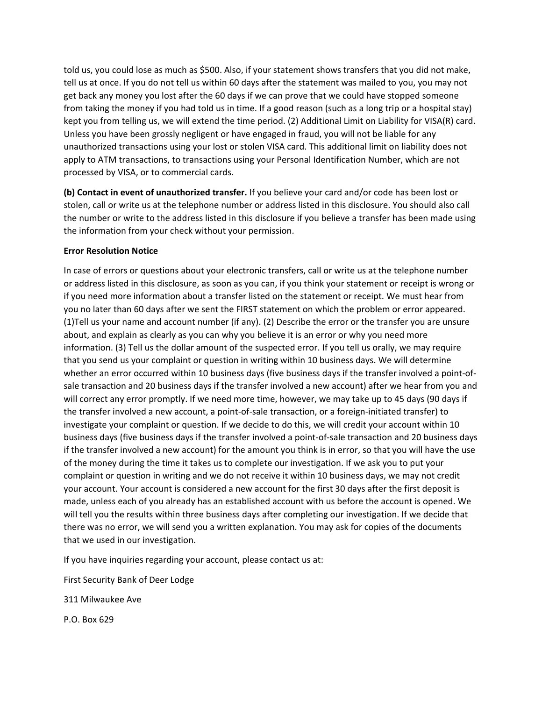told us, you could lose as much as \$500. Also, if your statement shows transfers that you did not make, tell us at once. If you do not tell us within 60 days after the statement was mailed to you, you may not get back any money you lost after the 60 days if we can prove that we could have stopped someone from taking the money if you had told us in time. If a good reason (such as a long trip or a hospital stay) kept you from telling us, we will extend the time period. (2) Additional Limit on Liability for VISA(R) card. Unless you have been grossly negligent or have engaged in fraud, you will not be liable for any unauthorized transactions using your lost or stolen VISA card. This additional limit on liability does not apply to ATM transactions, to transactions using your Personal Identification Number, which are not processed by VISA, or to commercial cards.

**(b) Contact in event of unauthorized transfer.** If you believe your card and/or code has been lost or stolen, call or write us at the telephone number or address listed in this disclosure. You should also call the number or write to the address listed in this disclosure if you believe a transfer has been made using the information from your check without your permission.

## **Error Resolution Notice**

In case of errors or questions about your electronic transfers, call or write us at the telephone number or address listed in this disclosure, as soon as you can, if you think your statement or receipt is wrong or if you need more information about a transfer listed on the statement or receipt. We must hear from you no later than 60 days after we sent the FIRST statement on which the problem or error appeared. (1)Tell us your name and account number (if any). (2) Describe the error or the transfer you are unsure about, and explain as clearly as you can why you believe it is an error or why you need more information. (3) Tell us the dollar amount of the suspected error. If you tell us orally, we may require that you send us your complaint or question in writing within 10 business days. We will determine whether an error occurred within 10 business days (five business days if the transfer involved a point-ofsale transaction and 20 business days if the transfer involved a new account) after we hear from you and will correct any error promptly. If we need more time, however, we may take up to 45 days (90 days if the transfer involved a new account, a point‐of‐sale transaction, or a foreign‐initiated transfer) to investigate your complaint or question. If we decide to do this, we will credit your account within 10 business days (five business days if the transfer involved a point‐of‐sale transaction and 20 business days if the transfer involved a new account) for the amount you think is in error, so that you will have the use of the money during the time it takes us to complete our investigation. If we ask you to put your complaint or question in writing and we do not receive it within 10 business days, we may not credit your account. Your account is considered a new account for the first 30 days after the first deposit is made, unless each of you already has an established account with us before the account is opened. We will tell you the results within three business days after completing our investigation. If we decide that there was no error, we will send you a written explanation. You may ask for copies of the documents that we used in our investigation.

If you have inquiries regarding your account, please contact us at:

First Security Bank of Deer Lodge

311 Milwaukee Ave

P.O. Box 629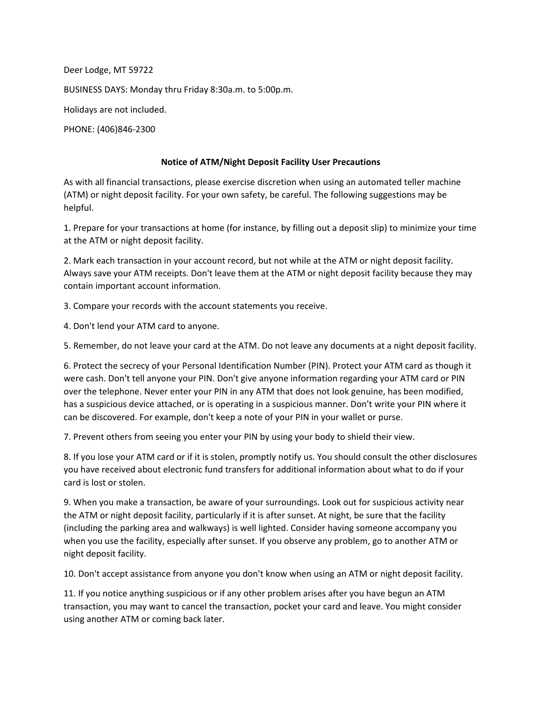Deer Lodge, MT 59722 BUSINESS DAYS: Monday thru Friday 8:30a.m. to 5:00p.m. Holidays are not included. PHONE: (406)846‐2300

# **Notice of ATM/Night Deposit Facility User Precautions**

As with all financial transactions, please exercise discretion when using an automated teller machine (ATM) or night deposit facility. For your own safety, be careful. The following suggestions may be helpful.

1. Prepare for your transactions at home (for instance, by filling out a deposit slip) to minimize your time at the ATM or night deposit facility.

2. Mark each transaction in your account record, but not while at the ATM or night deposit facility. Always save your ATM receipts. Don't leave them at the ATM or night deposit facility because they may contain important account information.

3. Compare your records with the account statements you receive.

4. Don't lend your ATM card to anyone.

5. Remember, do not leave your card at the ATM. Do not leave any documents at a night deposit facility.

6. Protect the secrecy of your Personal Identification Number (PIN). Protect your ATM card as though it were cash. Don't tell anyone your PIN. Don't give anyone information regarding your ATM card or PIN over the telephone. Never enter your PIN in any ATM that does not look genuine, has been modified, has a suspicious device attached, or is operating in a suspicious manner. Don't write your PIN where it can be discovered. For example, don't keep a note of your PIN in your wallet or purse.

7. Prevent others from seeing you enter your PIN by using your body to shield their view.

8. If you lose your ATM card or if it is stolen, promptly notify us. You should consult the other disclosures you have received about electronic fund transfers for additional information about what to do if your card is lost or stolen.

9. When you make a transaction, be aware of your surroundings. Look out for suspicious activity near the ATM or night deposit facility, particularly if it is after sunset. At night, be sure that the facility (including the parking area and walkways) is well lighted. Consider having someone accompany you when you use the facility, especially after sunset. If you observe any problem, go to another ATM or night deposit facility.

10. Don't accept assistance from anyone you don't know when using an ATM or night deposit facility.

11. If you notice anything suspicious or if any other problem arises after you have begun an ATM transaction, you may want to cancel the transaction, pocket your card and leave. You might consider using another ATM or coming back later.